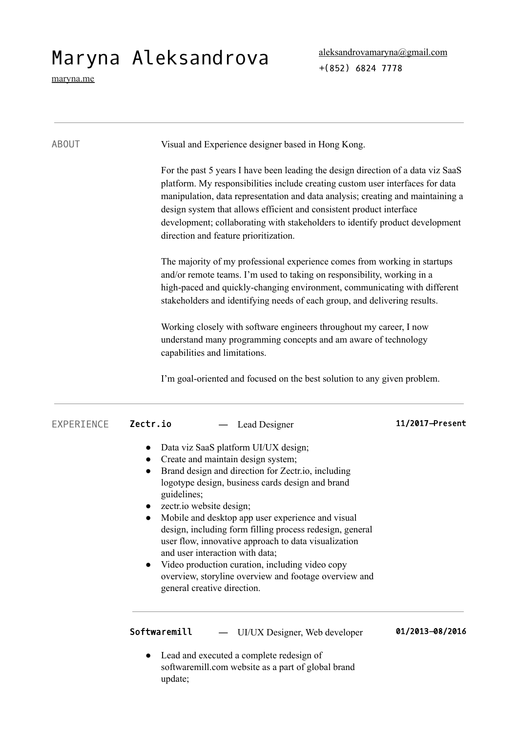## Maryna Aleksandrova

[maryna.me](http://maryna.me/)

| <b>ABOUT</b> | Visual and Experience designer based in Hong Kong.                                                                                                                                                                                                                                                                                                                                                                                                                                                                                                                                                                            |                 |  |  |
|--------------|-------------------------------------------------------------------------------------------------------------------------------------------------------------------------------------------------------------------------------------------------------------------------------------------------------------------------------------------------------------------------------------------------------------------------------------------------------------------------------------------------------------------------------------------------------------------------------------------------------------------------------|-----------------|--|--|
|              | For the past 5 years I have been leading the design direction of a data viz SaaS<br>platform. My responsibilities include creating custom user interfaces for data<br>manipulation, data representation and data analysis; creating and maintaining a<br>design system that allows efficient and consistent product interface<br>development; collaborating with stakeholders to identify product development<br>direction and feature prioritization.                                                                                                                                                                        |                 |  |  |
|              | The majority of my professional experience comes from working in startups<br>and/or remote teams. I'm used to taking on responsibility, working in a<br>high-paced and quickly-changing environment, communicating with different<br>stakeholders and identifying needs of each group, and delivering results.                                                                                                                                                                                                                                                                                                                |                 |  |  |
|              | Working closely with software engineers throughout my career, I now<br>understand many programming concepts and am aware of technology<br>capabilities and limitations.                                                                                                                                                                                                                                                                                                                                                                                                                                                       |                 |  |  |
|              | I'm goal-oriented and focused on the best solution to any given problem.                                                                                                                                                                                                                                                                                                                                                                                                                                                                                                                                                      |                 |  |  |
| EXPERIENCE   | Zectr.io<br>Lead Designer                                                                                                                                                                                                                                                                                                                                                                                                                                                                                                                                                                                                     | 11/2017-Present |  |  |
|              | Data viz SaaS platform UI/UX design;<br>$\bullet$<br>Create and maintain design system;<br>$\bullet$<br>Brand design and direction for Zectr.io, including<br>logotype design, business cards design and brand<br>guidelines;<br>zectr.io website design;<br>Mobile and desktop app user experience and visual<br>design, including form filling process redesign, general<br>user flow, innovative approach to data visualization<br>and user interaction with data;<br>Video production curation, including video copy<br>$\bullet$<br>overview, storyline overview and footage overview and<br>general creative direction. |                 |  |  |
|              | Softwaremill<br>UI/UX Designer, Web developer<br>Lead and executed a complete redesign of<br>softwaremill.com website as a part of global brand                                                                                                                                                                                                                                                                                                                                                                                                                                                                               | 01/2013-08/2016 |  |  |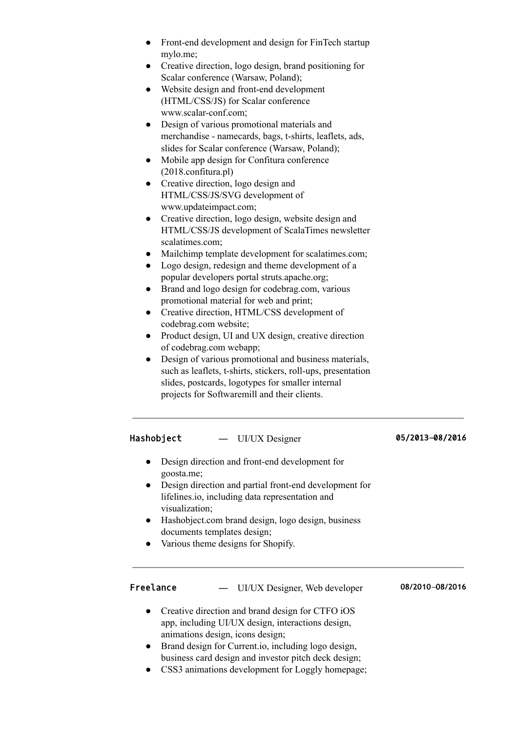- Front-end development and design for FinTech startup [mylo.me](http://mylo.me/);
- Creative direction, logo design, brand positioning for Scalar conference (Warsaw, Poland);
- Website design and front-end development (HTML/CSS/JS) for Scalar conference [www.scalar-conf.com](http://www.scalar-conf.com/);
- Design of various promotional materials and merchandise - namecards, bags, t-shirts, leaflets, ads, slides for Scalar conference (Warsaw, Poland);
- Mobile app design for Confitura conference [\(2018.confitura.pl\)](https://2018.confitura.pl/)
- Creative direction, logo design and HTML/CSS/JS/SVG development of [www.updateimpact.com](http://www.updateimpact.com/);
- Creative direction, logo design, website design and HTML/CSS/JS development of ScalaTimes newsletter [scalatimes.com;](http://scalatimes.com/)
- Mailchimp template development for [scalatimes.com;](http://scalatimes.com/)
- Logo design, redesign and theme development of a popular developers portal [struts.apache.org;](https://struts.apache.org/)
- Brand and logo design for [codebrag.com](http://codebrag.com/), various promotional material for web and print;
- Creative direction, HTML/CSS development of [codebrag.com](http://codebrag.com/) website;
- Product design, UI and UX design, creative direction of [codebrag.com](http://codebrag.com/) webapp;
- Design of various promotional and business materials, such as leaflets, t-shirts, stickers, roll-ups, presentation slides, postcards, logotypes for smaller internal projects for Softwaremill and their clients.

## Hashobject — UI/UX Designer 05/2013-08/2016

- Design direction and front-end development for [goosta.me](https://goosta.me/);
- Design direction and partial front-end development for [lifelines.io](http://lifelines.io/), including data representation and visualization;
- [Hashobject.com](http://hashobject.com/) brand design, logo design, business documents templates design;
- Various theme designs for Shopify.

Freelance ― UI/UX Designer, Web developer **08/2010**–**08/2016**

- Creative direction and brand design for [CTFO](https://itunes.apple.com/us/app/ctfo/id987170082) iOS app, including UI/UX design, interactions design, animations design, icons design;
- Brand design for Current.io, including logo design, business card design and investor pitch deck design;
- CSS3 animations development for [Loggly](https://www.loggly.com/) homepage;